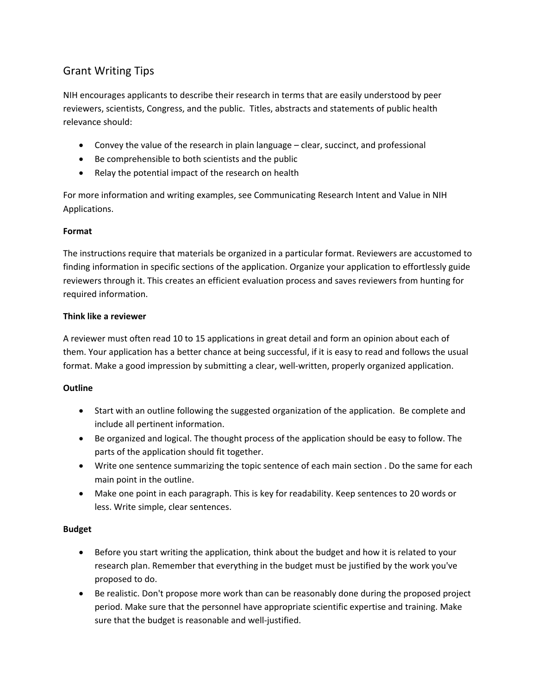# Grant Writing Tips

NIH encourages applicants to describe their research in terms that are easily understood by peer reviewers, scientists, Congress, and the public. Titles, abstracts and statements of public health relevance should:

- Convey the value of the research in plain language clear, succinct, and professional
- Be comprehensible to both scientists and the public
- Relay the potential impact of the research on health

For more information and writing examples, see Communicating Research Intent and Value in NIH Applications.

# **Format**

The instructions require that materials be organized in a particular format. Reviewers are accustomed to finding information in specific sections of the application. Organize your application to effortlessly guide reviewers through it. This creates an efficient evaluation process and saves reviewers from hunting for required information.

## **Think like a reviewer**

A reviewer must often read 10 to 15 applications in great detail and form an opinion about each of them. Your application has a better chance at being successful, if it is easy to read and follows the usual format. Make a good impression by submitting a clear, well‐written, properly organized application.

# **Outline**

- Start with an outline following the suggested organization of the application. Be complete and include all pertinent information.
- Be organized and logical. The thought process of the application should be easy to follow. The parts of the application should fit together.
- Write one sentence summarizing the topic sentence of each main section . Do the same for each main point in the outline.
- Make one point in each paragraph. This is key for readability. Keep sentences to 20 words or less. Write simple, clear sentences.

### **Budget**

- Before you start writing the application, think about the budget and how it is related to your research plan. Remember that everything in the budget must be justified by the work you've proposed to do.
- Be realistic. Don't propose more work than can be reasonably done during the proposed project period. Make sure that the personnel have appropriate scientific expertise and training. Make sure that the budget is reasonable and well-justified.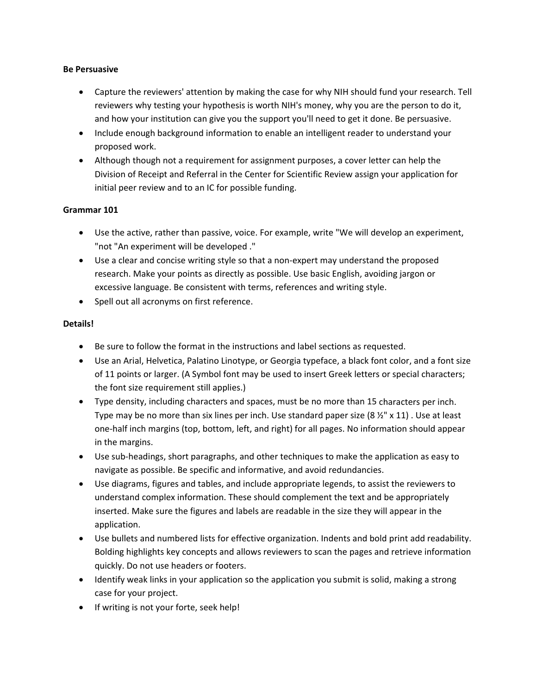#### **Be Persuasive**

- Capture the reviewers' attention by making the case for why NIH should fund your research. Tell reviewers why testing your hypothesis is worth NIH's money, why you are the person to do it, and how your institution can give you the support you'll need to get it done. Be persuasive.
- Include enough background information to enable an intelligent reader to understand your proposed work.
- Although though not a requirement for assignment purposes, a cover letter can help the Division of Receipt and Referral in the Center for Scientific Review assign your application for initial peer review and to an IC for possible funding.

## **Grammar 101**

- Use the active, rather than passive, voice. For example, write "We will develop an experiment, "not "An experiment will be developed ."
- Use a clear and concise writing style so that a non‐expert may understand the proposed research. Make your points as directly as possible. Use basic English, avoiding jargon or excessive language. Be consistent with terms, references and writing style.
- Spell out all acronyms on first reference.

## **Details!**

- Be sure to follow the format in the instructions and label sections as requested.
- Use an Arial, Helvetica, Palatino Linotype, or Georgia typeface, a black font color, and a font size of 11 points or larger. (A Symbol font may be used to insert Greek letters or special characters; the font size requirement still applies.)
- Type density, including characters and spaces, must be no more than 15 characters per inch. Type may be no more than six lines per inch. Use standard paper size  $(8 \frac{1}{2} \times 11)$ . Use at least one‐half inch margins (top, bottom, left, and right) for all pages. No information should appear in the margins.
- Use sub‐headings, short paragraphs, and other techniques to make the application as easy to navigate as possible. Be specific and informative, and avoid redundancies.
- Use diagrams, figures and tables, and include appropriate legends, to assist the reviewers to understand complex information. These should complement the text and be appropriately inserted. Make sure the figures and labels are readable in the size they will appear in the application.
- Use bullets and numbered lists for effective organization. Indents and bold print add readability. Bolding highlights key concepts and allows reviewers to scan the pages and retrieve information quickly. Do not use headers or footers.
- Identify weak links in your application so the application you submit is solid, making a strong case for your project.
- If writing is not your forte, seek help!